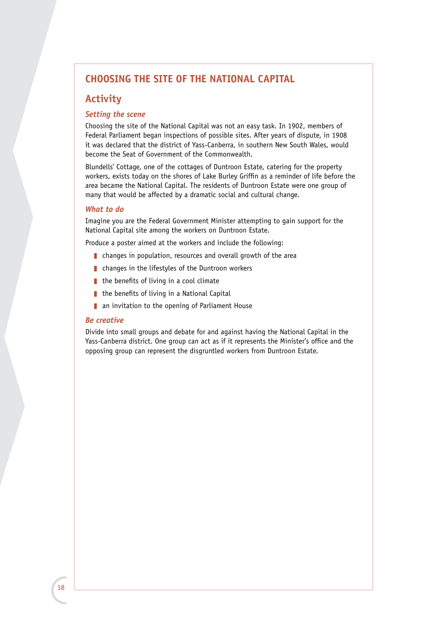# **CHOOSING THE SITE OF THE NATIONAL CAPITAL**

# **Activity**

## *Setting the scene*

Choosing the site of the National Capital was not an easy task. In 1902, members of Federal Parliament began inspections of possible sites. After years of dispute, in 1908 it was declared that the district of Yass-Canberra, in southern New South Wales, would become the Seat of Government of the Commonwealth.

Blundells' Cottage, one of the cottages of Duntroon Estate, catering for the property workers, exists today on the shores of Lake Burley Griffin as a reminder of life before the area became the National Capital. The residents of Duntroon Estate were one group of many that would be affected by a dramatic social and cultural change.

# *What to do*

Imagine you are the Federal Government Minister attempting to gain support for the National Capital site among the workers on Duntroon Estate.

Produce a poster aimed at the workers and include the following:

- $\blacksquare$  changes in population, resources and overall growth of the area
- $\blacksquare$  changes in the lifestyles of the Duntroon workers
- $\blacksquare$  the benefits of living in a cool climate
- $\blacksquare$  the benefits of living in a National Capital
- $\blacksquare$  an invitation to the opening of Parliament House

#### *Be creative*

Divide into small groups and debate for and against having the National Capital in the Yass-Canberra district. One group can act as if it represents the Minister's office and the opposing group can represent the disgruntled workers from Duntroon Estate.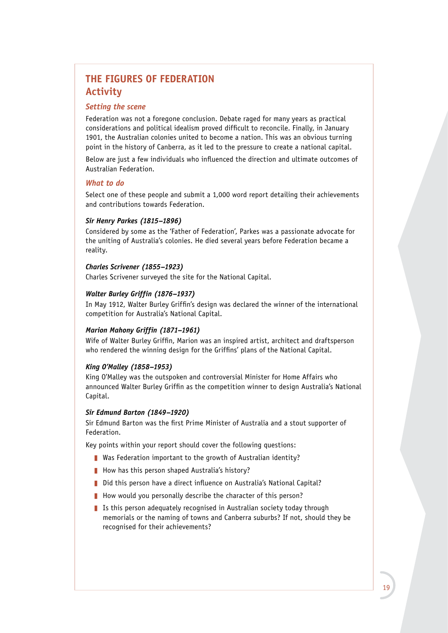# **THE FIGURES OF FEDERATION Activity**

### *Setting the scene*

Federation was not a foregone conclusion. Debate raged for many years as practical considerations and political idealism proved difficult to reconcile. Finally, in January 1901, the Australian colonies united to become a nation. This was an obvious turning point in the history of Canberra, as it led to the pressure to create a national capital.

Below are just a few individuals who influenced the direction and ultimate outcomes of Australian Federation.

#### *What to do*

Select one of these people and submit a 1,000 word report detailing their achievements and contributions towards Federation.

### *Sir Henry Parkes (1815–1896)*

Considered by some as the 'Father of Federation', Parkes was a passionate advocate for the uniting of Australia's colonies. He died several years before Federation became a reality.

#### *Charles Scrivener (1855–1923)*

Charles Scrivener surveyed the site for the National Capital.

## *Walter Burley Griffin (1876–1937)*

In May 1912, Walter Burley Griffin's design was declared the winner of the international competition for Australia's National Capital.

## *Marion Mahony Griffin (1871–1961)*

Wife of Walter Burley Griffin, Marion was an inspired artist, architect and draftsperson who rendered the winning design for the Griffins' plans of the National Capital.

#### *King O'Malley (1858–1953)*

King O'Malley was the outspoken and controversial Minister for Home Affairs who announced Walter Burley Griffin as the competition winner to design Australia's National Capital.

#### *Sir Edmund Barton (1849–1920)*

Sir Edmund Barton was the first Prime Minister of Australia and a stout supporter of Federation.

Key points within your report should cover the following questions:

- $\blacksquare$  Was Federation important to the growth of Australian identity?
- $\blacksquare$  How has this person shaped Australia's history?
- Did this person have a direct influence on Australia's National Capital?
- How would you personally describe the character of this person?
- I Is this person adequately recognised in Australian society today through memorials or the naming of towns and Canberra suburbs? If not, should they be recognised for their achievements?